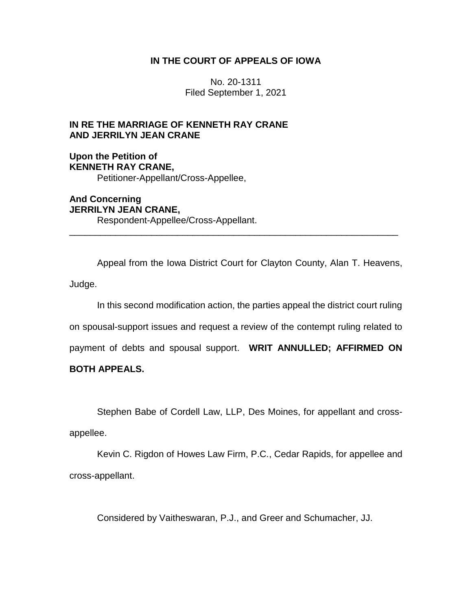## **IN THE COURT OF APPEALS OF IOWA**

No. 20-1311 Filed September 1, 2021

## **IN RE THE MARRIAGE OF KENNETH RAY CRANE AND JERRILYN JEAN CRANE**

## **Upon the Petition of KENNETH RAY CRANE,** Petitioner-Appellant/Cross-Appellee,

**And Concerning JERRILYN JEAN CRANE,** Respondent-Appellee/Cross-Appellant.

Appeal from the Iowa District Court for Clayton County, Alan T. Heavens, Judge.

\_\_\_\_\_\_\_\_\_\_\_\_\_\_\_\_\_\_\_\_\_\_\_\_\_\_\_\_\_\_\_\_\_\_\_\_\_\_\_\_\_\_\_\_\_\_\_\_\_\_\_\_\_\_\_\_\_\_\_\_\_\_\_\_

In this second modification action, the parties appeal the district court ruling on spousal-support issues and request a review of the contempt ruling related to

payment of debts and spousal support. **WRIT ANNULLED; AFFIRMED ON** 

## **BOTH APPEALS.**

Stephen Babe of Cordell Law, LLP, Des Moines, for appellant and cross-

appellee.

Kevin C. Rigdon of Howes Law Firm, P.C., Cedar Rapids, for appellee and cross-appellant.

Considered by Vaitheswaran, P.J., and Greer and Schumacher, JJ.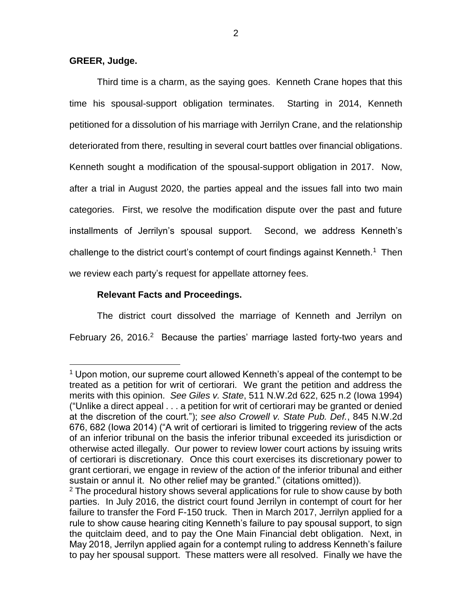## **GREER, Judge.**

 $\overline{a}$ 

Third time is a charm, as the saying goes. Kenneth Crane hopes that this time his spousal-support obligation terminates. Starting in 2014, Kenneth petitioned for a dissolution of his marriage with Jerrilyn Crane, and the relationship deteriorated from there, resulting in several court battles over financial obligations. Kenneth sought a modification of the spousal-support obligation in 2017. Now, after a trial in August 2020, the parties appeal and the issues fall into two main categories. First, we resolve the modification dispute over the past and future installments of Jerrilyn's spousal support. Second, we address Kenneth's challenge to the district court's contempt of court findings against Kenneth.<sup>1</sup> Then we review each party's request for appellate attorney fees.

## **Relevant Facts and Proceedings.**

The district court dissolved the marriage of Kenneth and Jerrilyn on February 26, 2016.<sup>2</sup> Because the parties' marriage lasted forty-two years and

 $1$  Upon motion, our supreme court allowed Kenneth's appeal of the contempt to be treated as a petition for writ of certiorari. We grant the petition and address the merits with this opinion. *See Giles v. State*, 511 N.W.2d 622, 625 n.2 (Iowa 1994) ("Unlike a direct appeal . . . a petition for writ of certiorari may be granted or denied at the discretion of the court."); *see also Crowell v. State Pub. Def.*, 845 N.W.2d 676, 682 (Iowa 2014) ("A writ of certiorari is limited to triggering review of the acts of an inferior tribunal on the basis the inferior tribunal exceeded its jurisdiction or otherwise acted illegally. Our power to review lower court actions by issuing writs of certiorari is discretionary. Once this court exercises its discretionary power to grant certiorari, we engage in review of the action of the inferior tribunal and either sustain or annul it. No other relief may be granted." (citations omitted)).

 $2$  The procedural history shows several applications for rule to show cause by both parties. In July 2016, the district court found Jerrilyn in contempt of court for her failure to transfer the Ford F-150 truck. Then in March 2017, Jerrilyn applied for a rule to show cause hearing citing Kenneth's failure to pay spousal support, to sign the quitclaim deed, and to pay the One Main Financial debt obligation. Next, in May 2018, Jerrilyn applied again for a contempt ruling to address Kenneth's failure to pay her spousal support. These matters were all resolved. Finally we have the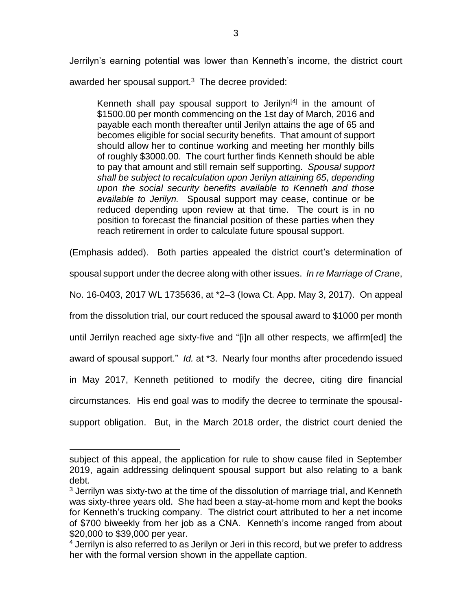Jerrilyn's earning potential was lower than Kenneth's income, the district court awarded her spousal support.<sup>3</sup> The decree provided:

Kenneth shall pay spousal support to Jerilyn<sup>[4]</sup> in the amount of \$1500.00 per month commencing on the 1st day of March, 2016 and payable each month thereafter until Jerilyn attains the age of 65 and becomes eligible for social security benefits. That amount of support should allow her to continue working and meeting her monthly bills of roughly \$3000.00. The court further finds Kenneth should be able to pay that amount and still remain self supporting. *Spousal support shall be subject to recalculation upon Jerilyn attaining 65, depending upon the social security benefits available to Kenneth and those available to Jerilyn.* Spousal support may cease, continue or be reduced depending upon review at that time. The court is in no position to forecast the financial position of these parties when they reach retirement in order to calculate future spousal support.

(Emphasis added). Both parties appealed the district court's determination of

spousal support under the decree along with other issues. *In re Marriage of Crane*,

No. 16-0403, 2017 WL 1735636, at \*2–3 (Iowa Ct. App. May 3, 2017). On appeal

from the dissolution trial, our court reduced the spousal award to \$1000 per month

until Jerrilyn reached age sixty-five and "[i]n all other respects, we affirm[ed] the

award of spousal support." *Id.* at \*3. Nearly four months after procedendo issued

in May 2017, Kenneth petitioned to modify the decree, citing dire financial

circumstances. His end goal was to modify the decree to terminate the spousal-

support obligation. But, in the March 2018 order, the district court denied the

 $\overline{a}$ 

subject of this appeal, the application for rule to show cause filed in September 2019, again addressing delinquent spousal support but also relating to a bank debt.

 $3$  Jerrilyn was sixty-two at the time of the dissolution of marriage trial, and Kenneth was sixty-three years old. She had been a stay-at-home mom and kept the books for Kenneth's trucking company. The district court attributed to her a net income of \$700 biweekly from her job as a CNA. Kenneth's income ranged from about \$20,000 to \$39,000 per year.

<sup>&</sup>lt;sup>4</sup> Jerrilyn is also referred to as Jerilyn or Jeri in this record, but we prefer to address her with the formal version shown in the appellate caption.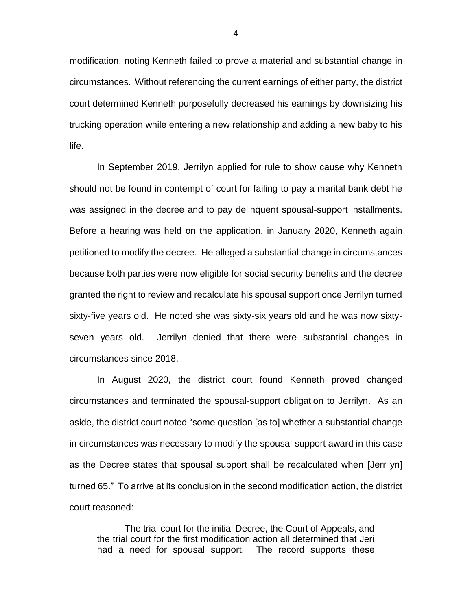modification, noting Kenneth failed to prove a material and substantial change in circumstances. Without referencing the current earnings of either party, the district court determined Kenneth purposefully decreased his earnings by downsizing his trucking operation while entering a new relationship and adding a new baby to his life.

In September 2019, Jerrilyn applied for rule to show cause why Kenneth should not be found in contempt of court for failing to pay a marital bank debt he was assigned in the decree and to pay delinquent spousal-support installments. Before a hearing was held on the application, in January 2020, Kenneth again petitioned to modify the decree. He alleged a substantial change in circumstances because both parties were now eligible for social security benefits and the decree granted the right to review and recalculate his spousal support once Jerrilyn turned sixty-five years old. He noted she was sixty-six years old and he was now sixtyseven years old. Jerrilyn denied that there were substantial changes in circumstances since 2018.

In August 2020, the district court found Kenneth proved changed circumstances and terminated the spousal-support obligation to Jerrilyn. As an aside, the district court noted "some question [as to] whether a substantial change in circumstances was necessary to modify the spousal support award in this case as the Decree states that spousal support shall be recalculated when [Jerrilyn] turned 65." To arrive at its conclusion in the second modification action, the district court reasoned:

The trial court for the initial Decree, the Court of Appeals, and the trial court for the first modification action all determined that Jeri had a need for spousal support. The record supports these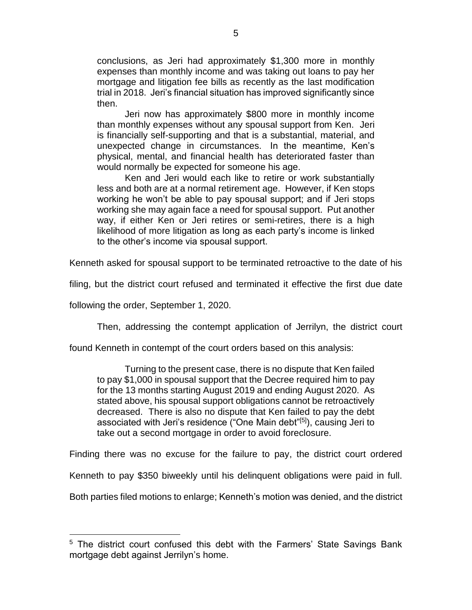conclusions, as Jeri had approximately \$1,300 more in monthly expenses than monthly income and was taking out loans to pay her mortgage and litigation fee bills as recently as the last modification trial in 2018. Jeri's financial situation has improved significantly since then.

Jeri now has approximately \$800 more in monthly income than monthly expenses without any spousal support from Ken. Jeri is financially self-supporting and that is a substantial, material, and unexpected change in circumstances. In the meantime, Ken's physical, mental, and financial health has deteriorated faster than would normally be expected for someone his age.

Ken and Jeri would each like to retire or work substantially less and both are at a normal retirement age. However, if Ken stops working he won't be able to pay spousal support; and if Jeri stops working she may again face a need for spousal support. Put another way, if either Ken or Jeri retires or semi-retires, there is a high likelihood of more litigation as long as each party's income is linked to the other's income via spousal support.

Kenneth asked for spousal support to be terminated retroactive to the date of his

filing, but the district court refused and terminated it effective the first due date

following the order, September 1, 2020.

 $\overline{a}$ 

Then, addressing the contempt application of Jerrilyn, the district court

found Kenneth in contempt of the court orders based on this analysis:

Turning to the present case, there is no dispute that Ken failed to pay \$1,000 in spousal support that the Decree required him to pay for the 13 months starting August 2019 and ending August 2020. As stated above, his spousal support obligations cannot be retroactively decreased. There is also no dispute that Ken failed to pay the debt associated with Jeri's residence ("One Main debt"<sup>[5]</sup>), causing Jeri to take out a second mortgage in order to avoid foreclosure.

Finding there was no excuse for the failure to pay, the district court ordered

Kenneth to pay \$350 biweekly until his delinquent obligations were paid in full.

Both parties filed motions to enlarge; Kenneth's motion was denied, and the district

<sup>&</sup>lt;sup>5</sup> The district court confused this debt with the Farmers' State Savings Bank mortgage debt against Jerrilyn's home.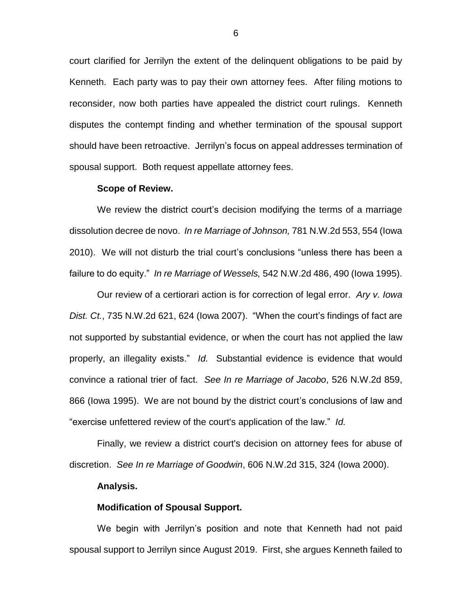court clarified for Jerrilyn the extent of the delinquent obligations to be paid by Kenneth. Each party was to pay their own attorney fees. After filing motions to reconsider, now both parties have appealed the district court rulings. Kenneth disputes the contempt finding and whether termination of the spousal support should have been retroactive. Jerrilyn's focus on appeal addresses termination of spousal support. Both request appellate attorney fees.

#### **Scope of Review.**

We review the district court's decision modifying the terms of a marriage dissolution decree de novo. *In re Marriage of Johnson,* 781 N.W.2d 553, 554 (Iowa 2010). We will not disturb the trial court's conclusions "unless there has been a failure to do equity." *In re Marriage of Wessels,* 542 N.W.2d 486, 490 (Iowa 1995).

Our review of a certiorari action is for correction of legal error. *Ary v. Iowa Dist. Ct.*, 735 N.W.2d 621, 624 (Iowa 2007). "When the court's findings of fact are not supported by substantial evidence, or when the court has not applied the law properly, an illegality exists." *Id.* Substantial evidence is evidence that would convince a rational trier of fact. *See In re Marriage of Jacobo*, 526 N.W.2d 859, 866 (Iowa 1995). We are not bound by the district court's conclusions of law and "exercise unfettered review of the court's application of the law." *Id.*

Finally, we review a district court's decision on attorney fees for abuse of discretion. *See In re Marriage of Goodwin*, 606 N.W.2d 315, 324 (Iowa 2000).

#### **Analysis.**

#### **Modification of Spousal Support.**

We begin with Jerrilyn's position and note that Kenneth had not paid spousal support to Jerrilyn since August 2019. First, she argues Kenneth failed to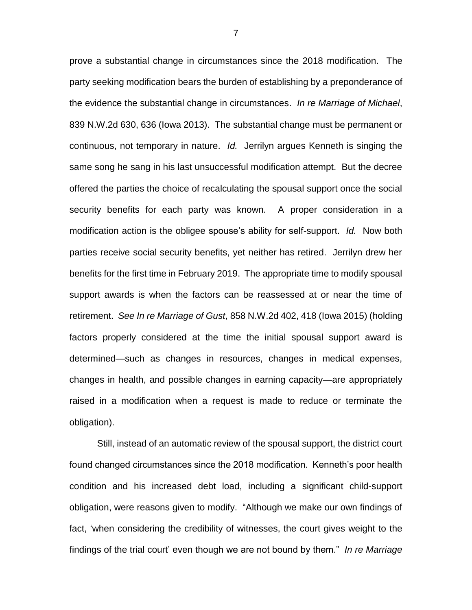prove a substantial change in circumstances since the 2018 modification. The party seeking modification bears the burden of establishing by a preponderance of the evidence the substantial change in circumstances. *In re Marriage of Michael*, 839 N.W.2d 630, 636 (Iowa 2013). The substantial change must be permanent or continuous, not temporary in nature. *Id.* Jerrilyn argues Kenneth is singing the same song he sang in his last unsuccessful modification attempt. But the decree offered the parties the choice of recalculating the spousal support once the social security benefits for each party was known. A proper consideration in a modification action is the obligee spouse's ability for self-support. *Id.* Now both parties receive social security benefits, yet neither has retired. Jerrilyn drew her benefits for the first time in February 2019. The appropriate time to modify spousal support awards is when the factors can be reassessed at or near the time of retirement. *See In re Marriage of Gust*, 858 N.W.2d 402, 418 (Iowa 2015) (holding factors properly considered at the time the initial spousal support award is determined—such as changes in resources, changes in medical expenses, changes in health, and possible changes in earning capacity—are appropriately raised in a modification when a request is made to reduce or terminate the obligation).

Still, instead of an automatic review of the spousal support, the district court found changed circumstances since the 2018 modification. Kenneth's poor health condition and his increased debt load, including a significant child-support obligation, were reasons given to modify. "Although we make our own findings of fact, 'when considering the credibility of witnesses, the court gives weight to the findings of the trial court' even though we are not bound by them." *In re Marriage*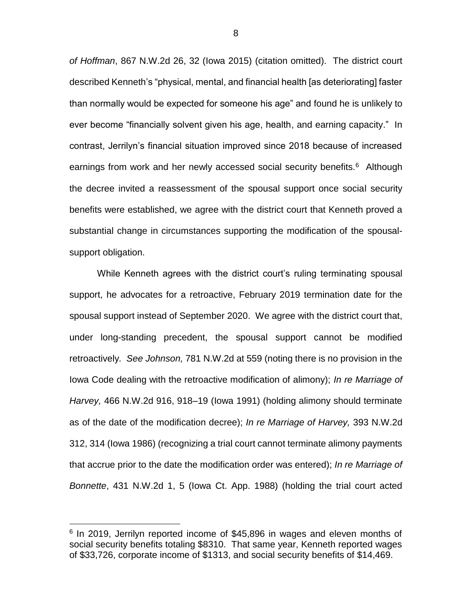*of Hoffman*, 867 N.W.2d 26, 32 (Iowa 2015) (citation omitted). The district court described Kenneth's "physical, mental, and financial health [as deteriorating] faster than normally would be expected for someone his age" and found he is unlikely to ever become "financially solvent given his age, health, and earning capacity." In contrast, Jerrilyn's financial situation improved since 2018 because of increased earnings from work and her newly accessed social security benefits.<sup>6</sup> Although the decree invited a reassessment of the spousal support once social security benefits were established, we agree with the district court that Kenneth proved a substantial change in circumstances supporting the modification of the spousalsupport obligation.

While Kenneth agrees with the district court's ruling terminating spousal support, he advocates for a retroactive, February 2019 termination date for the spousal support instead of September 2020. We agree with the district court that, under long-standing precedent, the spousal support cannot be modified retroactively*. See Johnson,* 781 N.W.2d at 559 (noting there is no provision in the Iowa Code dealing with the retroactive modification of alimony); *In re Marriage of Harvey,* 466 N.W.2d 916, 918–19 (Iowa 1991) (holding alimony should terminate as of the date of the modification decree); *In re Marriage of Harvey,* 393 N.W.2d 312, 314 (Iowa 1986) (recognizing a trial court cannot terminate alimony payments that accrue prior to the date the modification order was entered); *In re Marriage of Bonnette*, 431 N.W.2d 1, 5 (Iowa Ct. App. 1988) (holding the trial court acted

 $\overline{a}$ 

<sup>&</sup>lt;sup>6</sup> In 2019, Jerrilyn reported income of \$45,896 in wages and eleven months of social security benefits totaling \$8310. That same year, Kenneth reported wages of \$33,726, corporate income of \$1313, and social security benefits of \$14,469.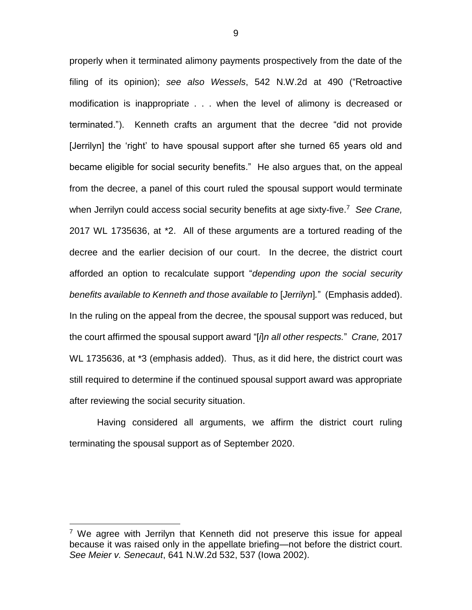properly when it terminated alimony payments prospectively from the date of the filing of its opinion); *see also Wessels*, 542 N.W.2d at 490 ("Retroactive modification is inappropriate . . . when the level of alimony is decreased or terminated."). Kenneth crafts an argument that the decree "did not provide [Jerrilyn] the 'right' to have spousal support after she turned 65 years old and became eligible for social security benefits." He also argues that, on the appeal from the decree, a panel of this court ruled the spousal support would terminate when Jerrilyn could access social security benefits at age sixty-five. <sup>7</sup> *See Crane,* 2017 WL 1735636, at \*2. All of these arguments are a tortured reading of the decree and the earlier decision of our court. In the decree, the district court afforded an option to recalculate support "*depending upon the social security benefits available to Kenneth and those available to* [*Jerrilyn*]*.*"(Emphasis added). In the ruling on the appeal from the decree, the spousal support was reduced, but the court affirmed the spousal support award "[*i*]*n all other respects.*" *Crane,* 2017 WL 1735636, at \*3 (emphasis added). Thus, as it did here, the district court was still required to determine if the continued spousal support award was appropriate after reviewing the social security situation.

Having considered all arguments, we affirm the district court ruling terminating the spousal support as of September 2020.

 $\overline{a}$ 

9

<sup>&</sup>lt;sup>7</sup> We agree with Jerrilyn that Kenneth did not preserve this issue for appeal because it was raised only in the appellate briefing—not before the district court. *See Meier v. Senecaut*, 641 N.W.2d 532, 537 (Iowa 2002).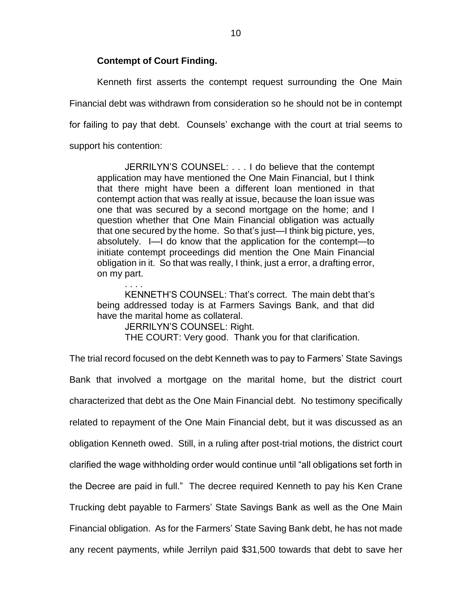## **Contempt of Court Finding.**

. . . .

Kenneth first asserts the contempt request surrounding the One Main Financial debt was withdrawn from consideration so he should not be in contempt for failing to pay that debt. Counsels' exchange with the court at trial seems to support his contention:

JERRILYN'S COUNSEL: . . . I do believe that the contempt application may have mentioned the One Main Financial, but I think that there might have been a different loan mentioned in that contempt action that was really at issue, because the loan issue was one that was secured by a second mortgage on the home; and I question whether that One Main Financial obligation was actually that one secured by the home. So that's just—I think big picture, yes, absolutely. I—I do know that the application for the contempt—to initiate contempt proceedings did mention the One Main Financial obligation in it. So that was really, I think, just a error, a drafting error, on my part.

KENNETH'S COUNSEL: That's correct. The main debt that's being addressed today is at Farmers Savings Bank, and that did have the marital home as collateral.

JERRILYN'S COUNSEL: Right.

THE COURT: Very good. Thank you for that clarification.

The trial record focused on the debt Kenneth was to pay to Farmers' State Savings Bank that involved a mortgage on the marital home, but the district court characterized that debt as the One Main Financial debt. No testimony specifically related to repayment of the One Main Financial debt, but it was discussed as an obligation Kenneth owed. Still, in a ruling after post-trial motions, the district court clarified the wage withholding order would continue until "all obligations set forth in the Decree are paid in full." The decree required Kenneth to pay his Ken Crane Trucking debt payable to Farmers' State Savings Bank as well as the One Main Financial obligation. As for the Farmers' State Saving Bank debt, he has not made any recent payments, while Jerrilyn paid \$31,500 towards that debt to save her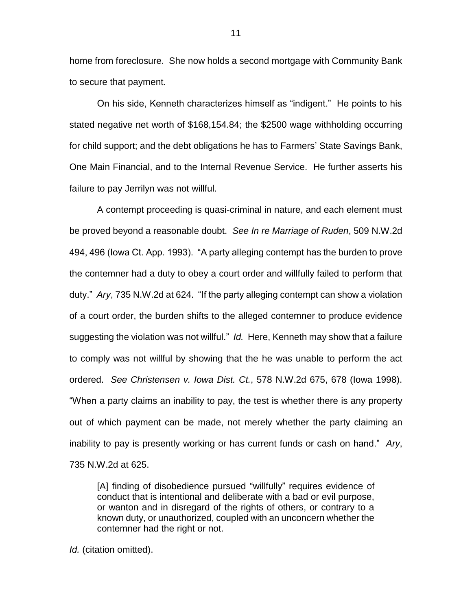home from foreclosure. She now holds a second mortgage with Community Bank to secure that payment.

On his side, Kenneth characterizes himself as "indigent." He points to his stated negative net worth of \$168,154.84; the \$2500 wage withholding occurring for child support; and the debt obligations he has to Farmers' State Savings Bank, One Main Financial, and to the Internal Revenue Service. He further asserts his failure to pay Jerrilyn was not willful.

A contempt proceeding is quasi-criminal in nature, and each element must be proved beyond a reasonable doubt. *See In re Marriage of Ruden*, 509 N.W.2d 494, 496 (Iowa Ct. App. 1993). "A party alleging contempt has the burden to prove the contemner had a duty to obey a court order and willfully failed to perform that duty." *Ary*, 735 N.W.2d at 624. "If the party alleging contempt can show a violation of a court order, the burden shifts to the alleged contemner to produce evidence suggesting the violation was not willful." *Id.* Here, Kenneth may show that a failure to comply was not willful by showing that the he was unable to perform the act ordered. *See Christensen v. Iowa Dist. Ct.*, 578 N.W.2d 675, 678 (Iowa 1998). "When a party claims an inability to pay, the test is whether there is any property out of which payment can be made, not merely whether the party claiming an inability to pay is presently working or has current funds or cash on hand." *Ary*, 735 N.W.2d at 625.

[A] finding of disobedience pursued "willfully" requires evidence of conduct that is intentional and deliberate with a bad or evil purpose, or wanton and in disregard of the rights of others, or contrary to a known duty, or unauthorized, coupled with an unconcern whether the contemner had the right or not.

*Id.* (citation omitted).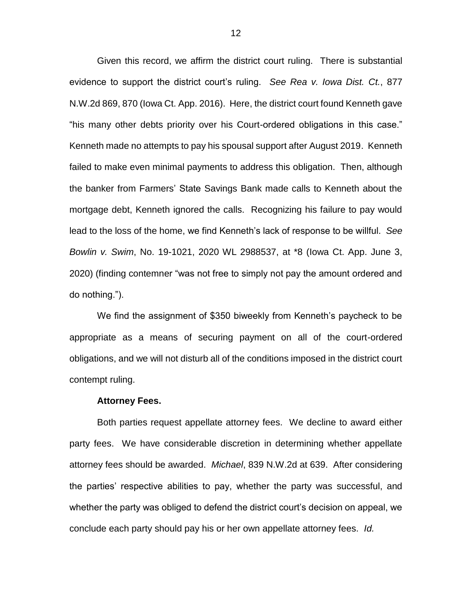Given this record, we affirm the district court ruling. There is substantial evidence to support the district court's ruling. *See Rea v. Iowa Dist. Ct.*, 877 N.W.2d 869, 870 (Iowa Ct. App. 2016). Here, the district court found Kenneth gave "his many other debts priority over his Court-ordered obligations in this case." Kenneth made no attempts to pay his spousal support after August 2019. Kenneth failed to make even minimal payments to address this obligation. Then, although the banker from Farmers' State Savings Bank made calls to Kenneth about the mortgage debt, Kenneth ignored the calls. Recognizing his failure to pay would lead to the loss of the home, we find Kenneth's lack of response to be willful. *See Bowlin v. Swim*, No. 19-1021, 2020 WL 2988537, at \*8 (Iowa Ct. App. June 3, 2020) (finding contemner "was not free to simply not pay the amount ordered and do nothing.").

We find the assignment of \$350 biweekly from Kenneth's paycheck to be appropriate as a means of securing payment on all of the court-ordered obligations, and we will not disturb all of the conditions imposed in the district court contempt ruling.

#### **Attorney Fees.**

Both parties request appellate attorney fees. We decline to award either party fees. We have considerable discretion in determining whether appellate attorney fees should be awarded. *Michael*, 839 N.W.2d at 639. After considering the parties' respective abilities to pay, whether the party was successful, and whether the party was obliged to defend the district court's decision on appeal, we conclude each party should pay his or her own appellate attorney fees. *Id.*